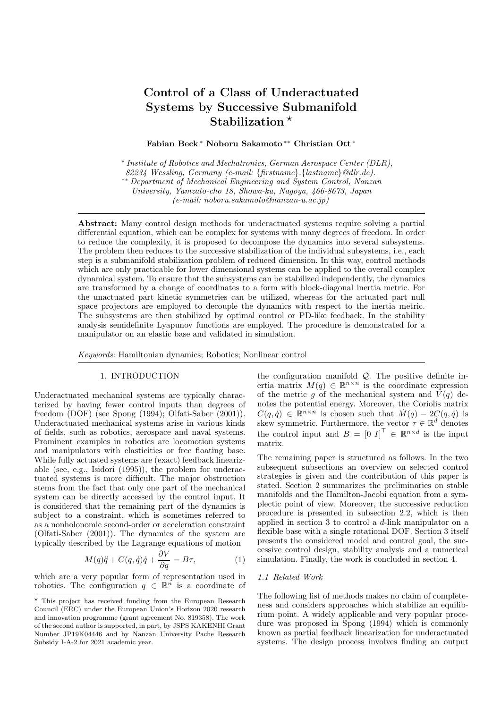# Control of a Class of Underactuated Systems by Successive Submanifold Stabilization  $*$

Fabian Beck <sup>∗</sup> Noboru Sakamoto ∗∗ Christian Ott <sup>∗</sup>

∗ Institute of Robotics and Mechatronics, German Aerospace Center (DLR),

82234 Wessling, Germany (e-mail: {firstname}.{lastname}@dlr.de).

∗∗ Department of Mechanical Engineering and System Control, Nanzan

University, Yamzato-cho 18, Showa-ku, Nagoya, 466-8673, Japan

(e-mail: noboru.sakamoto@nanzan-u.ac.jp)

Abstract: Many control design methods for underactuated systems require solving a partial differential equation, which can be complex for systems with many degrees of freedom. In order to reduce the complexity, it is proposed to decompose the dynamics into several subsystems. The problem then reduces to the successive stabilization of the individual subsystems, i.e., each step is a submanifold stabilization problem of reduced dimension. In this way, control methods which are only practicable for lower dimensional systems can be applied to the overall complex dynamical system. To ensure that the subsystems can be stabilized independently, the dynamics are transformed by a change of coordinates to a form with block-diagonal inertia metric. For the unactuated part kinetic symmetries can be utilized, whereas for the actuated part null space projectors are employed to decouple the dynamics with respect to the inertia metric. The subsystems are then stabilized by optimal control or PD-like feedback. In the stability analysis semidefinite Lyapunov functions are employed. The procedure is demonstrated for a manipulator on an elastic base and validated in simulation.

Keywords: Hamiltonian dynamics; Robotics; Nonlinear control

# 1. INTRODUCTION

Underactuated mechanical systems are typically characterized by having fewer control inputs than degrees of freedom (DOF) (see Spong (1994); Olfati-Saber (2001)). Underactuated mechanical systems arise in various kinds of fields, such as robotics, aerospace and naval systems. Prominent examples in robotics are locomotion systems and manipulators with elasticities or free floating base. While fully actuated systems are (exact) feedback linearizable (see, e.g., Isidori (1995)), the problem for underactuated systems is more difficult. The major obstruction stems from the fact that only one part of the mechanical system can be directly accessed by the control input. It is considered that the remaining part of the dynamics is subject to a constraint, which is sometimes referred to as a nonholonomic second-order or acceleration constraint (Olfati-Saber (2001)). The dynamics of the system are typically described by the Lagrange equations of motion

$$
M(q)\ddot{q} + C(q,\dot{q})\dot{q} + \frac{\partial V}{\partial q} = B\tau,
$$
\n(1)

which are a very popular form of representation used in robotics. The configuration  $q \in \mathbb{R}^n$  is a coordinate of the configuration manifold  $Q$ . The positive definite inertia matrix  $M(q) \in \mathbb{R}^{n \times n}$  is the coordinate expression of the metric g of the mechanical system and  $V(q)$  denotes the potential energy. Moreover, the Coriolis matrix  $C(q, \dot{q}) \in \mathbb{R}^{n \times n}$  is chosen such that  $\dot{M}(q) - 2C(q, \dot{q})$  is skew symmetric. Furthermore, the vector  $\tau \in \mathbb{R}^d$  denotes the control input and  $B = [0 I]^\top \in \mathbb{R}^{n \times d}$  is the input matrix.

The remaining paper is structured as follows. In the two subsequent subsections an overview on selected control strategies is given and the contribution of this paper is stated. Section 2 summarizes the preliminaries on stable manifolds and the Hamilton-Jacobi equation from a symplectic point of view. Moreover, the successive reduction procedure is presented in subsection 2.2, which is then applied in section 3 to control a d-link manipulator on a flexible base with a single rotational DOF. Section 3 itself presents the considered model and control goal, the successive control design, stability analysis and a numerical simulation. Finally, the work is concluded in section 4.

#### 1.1 Related Work

The following list of methods makes no claim of completeness and considers approaches which stabilize an equilibrium point. A widely applicable and very popular procedure was proposed in Spong (1994) which is commonly known as partial feedback linearization for underactuated systems. The design process involves finding an output

<sup>?</sup> This project has received funding from the European Research Council (ERC) under the European Union's Horizon 2020 research and innovation programme (grant agreement No. 819358). The work of the second author is supported, in part, by JSPS KAKENHI Grant Number JP19K04446 and by Nanzan University Pache Research Subsidy I-A-2 for 2021 academic year.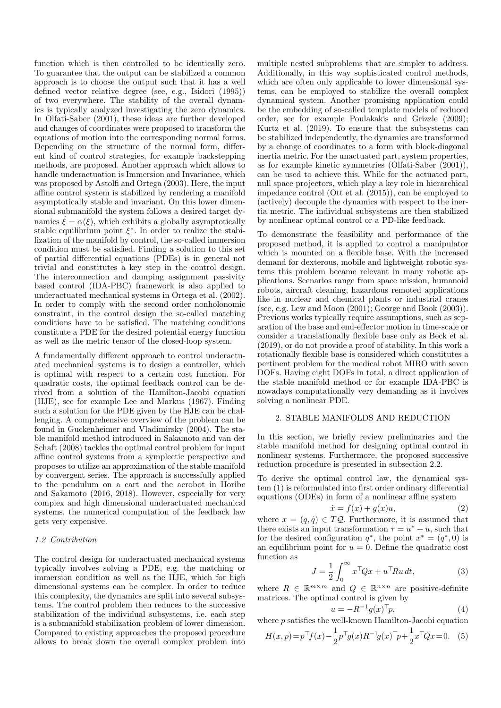function which is then controlled to be identically zero. To guarantee that the output can be stabilized a common approach is to choose the output such that it has a well defined vector relative degree (see, e.g., Isidori (1995)) of two everywhere. The stability of the overall dynamics is typically analyzed investigating the zero dynamics. In Olfati-Saber (2001), these ideas are further developed and changes of coordinates were proposed to transform the equations of motion into the corresponding normal forms. Depending on the structure of the normal form, different kind of control strategies, for example backstepping methods, are proposed. Another approach which allows to handle underactuation is Immersion and Invariance, which was proposed by Astolfi and Ortega (2003). Here, the input affine control system is stabilized by rendering a manifold asymptotically stable and invariant. On this lower dimensional submanifold the system follows a desired target dynamics  $\xi = \alpha(\xi)$ , which exhibits a globally asymptotically stable equilibrium point  $\xi^*$ . In order to realize the stabilization of the manifold by control, the so-called immersion condition must be satisfied. Finding a solution to this set of partial differential equations (PDEs) is in general not trivial and constitutes a key step in the control design. The interconnection and damping assignment passivity based control (IDA-PBC) framework is also applied to underactuated mechanical systems in Ortega et al. (2002). In order to comply with the second order nonholonomic constraint, in the control design the so-called matching conditions have to be satisfied. The matching conditions constitute a PDE for the desired potential energy function as well as the metric tensor of the closed-loop system.

A fundamentally different approach to control underactuated mechanical systems is to design a controller, which is optimal with respect to a certain cost function. For quadratic costs, the optimal feedback control can be derived from a solution of the Hamilton-Jacobi equation (HJE), see for example Lee and Markus (1967). Finding such a solution for the PDE given by the HJE can be challenging. A comprehensive overview of the problem can be found in Guckenheimer and Vladimirsky (2004). The stable manifold method introduced in Sakamoto and van der Schaft (2008) tackles the optimal control problem for input affine control systems from a symplectic perspective and proposes to utilize an approximation of the stable manifold by convergent series. The approach is successfully applied to the pendulum on a cart and the acrobot in Horibe and Sakamoto (2016, 2018). However, especially for very complex and high dimensional underactuated mechanical systems, the numerical computation of the feedback law gets very expensive.

# 1.2 Contribution

The control design for underactuated mechanical systems typically involves solving a PDE, e.g. the matching or immersion condition as well as the HJE, which for high dimensional systems can be complex. In order to reduce this complexity, the dynamics are split into several subsystems. The control problem then reduces to the successive stabilization of the individual subsystems, i.e. each step is a submanifold stabilization problem of lower dimension. Compared to existing approaches the proposed procedure allows to break down the overall complex problem into multiple nested subproblems that are simpler to address. Additionally, in this way sophisticated control methods, which are often only applicable to lower dimensional systems, can be employed to stabilize the overall complex dynamical system. Another promising application could be the embedding of so-called template models of reduced order, see for example Poulakakis and Grizzle (2009); Kurtz et al. (2019). To ensure that the subsystems can be stabilized independently, the dynamics are transformed by a change of coordinates to a form with block-diagonal inertia metric. For the unactuated part, system properties, as for example kinetic symmetries (Olfati-Saber (2001)), can be used to achieve this. While for the actuated part, null space projectors, which play a key role in hierarchical impedance control (Ott et al. (2015)), can be employed to (actively) decouple the dynamics with respect to the inertia metric. The individual subsystems are then stabilized by nonlinear optimal control or a PD-like feedback.

To demonstrate the feasibility and performance of the proposed method, it is applied to control a manipulator which is mounted on a flexible base. With the increased demand for dexterous, mobile and lightweight robotic systems this problem became relevant in many robotic applications. Scenarios range from space mission, humanoid robots, aircraft cleaning, hazardous remoted applications like in nuclear and chemical plants or industrial cranes (see, e.g. Lew and Moon (2001); George and Book (2003)). Previous works typically require assumptions, such as separation of the base and end-effector motion in time-scale or consider a translationally flexible base only as Beck et al. (2019), or do not provide a proof of stability. In this work a rotationally flexible base is considered which constitutes a pertinent problem for the medical robot MIRO with seven DOFs. Having eight DOFs in total, a direct application of the stable manifold method or for example IDA-PBC is nowadays computationally very demanding as it involves solving a nonlinear PDE.

# 2. STABLE MANIFOLDS AND REDUCTION

In this section, we briefly review preliminaries and the stable manifold method for designing optimal control in nonlinear systems. Furthermore, the proposed successive reduction procedure is presented in subsection 2.2.

To derive the optimal control law, the dynamical system (1) is reformulated into first order ordinary differential equations (ODEs) in form of a nonlinear affine system

$$
\dot{x} = f(x) + g(x)u,\tag{2}
$$

where  $x = (q, \dot{q}) \in TQ$ . Furthermore, it is assumed that there exists an input transformation  $\tau = u^* + u$ , such that for the desired configuration  $q^*$ , the point  $x^* = (q^*, 0)$  is an equilibrium point for  $u = 0$ . Define the quadratic cost function as

$$
J = \frac{1}{2} \int_0^\infty x^\top Q x + u^\top R u \, dt,\tag{3}
$$

where  $R \in \mathbb{R}^{m \times m}$  and  $Q \in \mathbb{R}^{n \times n}$  are positive-definite matrices. The optimal control is given by

$$
u = -R^{-1}g(x)^\top p,\tag{4}
$$

where p satisfies the well-known Hamilton-Jacobi equation

$$
H(x,p) = p^{\top} f(x) - \frac{1}{2} p^{\top} g(x) R^{-1} g(x)^{\top} p + \frac{1}{2} x^{\top} Q x = 0.
$$
 (5)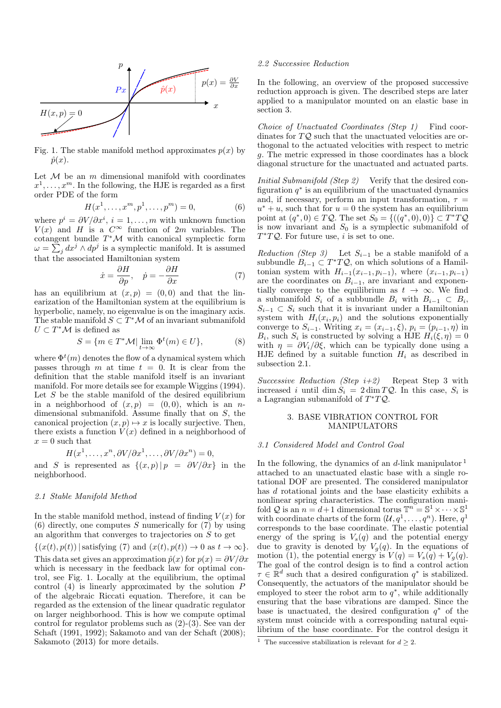

Fig. 1. The stable manifold method approximates  $p(x)$  by  $\hat{p}(x)$ .

Let  $M$  be an  $m$  dimensional manifold with coordinates  $x^1, \ldots, x^m$ . In the following, the HJE is regarded as a first order PDE of the form

$$
H(x^{1},...,x^{m},p^{1},...,p^{m}) = 0,
$$
\n(6)

where  $p^i = \partial V / \partial x^i$ ,  $i = 1, ..., m$  with unknown function  $V(x)$  and H is a  $C^{\infty}$  function of 2m variables. The cotangent bundle  $T^{\ast}\mathcal{M}$  with canonical symplectic form  $\omega = \sum_j dx^j \wedge dp^j$  is a symplectic manifold. It is assumed that the associated Hamiltonian system

$$
\dot{x} = \frac{\partial H}{\partial p}, \quad \dot{p} = -\frac{\partial H}{\partial x} \tag{7}
$$

has an equilibrium at  $(x, p) = (0, 0)$  and that the linearization of the Hamiltonian system at the equilibrium is hyperbolic, namely, no eigenvalue is on the imaginary axis. The stable manifold  $S \subset T^*\mathcal{M}$  of an invariant submanifold  $U \subset T^*\mathcal{M}$  is defined as

$$
S = \{ m \in T^* \mathcal{M} | \lim_{t \to \infty} \Phi^t(m) \in U \},\tag{8}
$$

where  $\Phi^t(m)$  denotes the flow of a dynamical system which passes through m at time  $t = 0$ . It is clear from the definition that the stable manifold itself is an invariant manifold. For more details see for example Wiggins (1994). Let  $S$  be the stable manifold of the desired equilibrium in a neighborhood of  $(x, p) = (0, 0)$ , which is an ndimensional submanifold. Assume finally that on S, the canonical projection  $(x, p) \mapsto x$  is locally surjective. Then, there exists a function  $V(x)$  defined in a neighborhood of  $x = 0$  such that

$$
H(x^1, \ldots, x^n, \partial V/\partial x^1, \ldots, \partial V/\partial x^n) = 0,
$$

and S is represented as  $\{(x,p)|p = \partial V/\partial x\}$  in the neighborhood.

# 2.1 Stable Manifold Method

In the stable manifold method, instead of finding  $V(x)$  for  $(6)$  directly, one computes S numerically for  $(7)$  by using an algorithm that converges to trajectories on S to get

$$
\{(x(t), p(t)) | \text{satisfying (7) and } (x(t), p(t)) \to 0 \text{ as } t \to \infty\}.
$$
 This data set gives an approximation  $\hat{p}(x)$  for  $p(x) = \partial V/\partial x$  which is necessary in the feedback law for optimal control, see Fig. 1. Locally at the equilibrium, the optimal control (4) is linearly approximated by the solution  $P$  of the algebraic Riccati equation. Therefore, it can be regarded as the extension of the linear quadratic regulator on larger neighborhood. This is how we compute optimal control for regulator problems such as  $(2)$ - $(3)$ . See van der Schaff (1991, 1992); Sakamoto and van der Schaff (2008); Sakamoto (2013) for more details.

#### 2.2 Successive Reduction

In the following, an overview of the proposed successive reduction approach is given. The described steps are later applied to a manipulator mounted on an elastic base in section 3.

Choice of Unactuated Coordinates (Step 1) Find coordinates for  $TQ$  such that the unactuated velocities are orthogonal to the actuated velocities with respect to metric g. The metric expressed in those coordinates has a block diagonal structure for the unactuated and actuated parts.

Initial Submanifold (Step 2) Verify that the desired configuration  $q^*$  is an equilibrium of the unactuated dynamics and, if necessary, perform an input transformation,  $\tau =$  $u^* + u$ , such that for  $u = 0$  the system has an equilibrium point at  $(q^*,0) \in TQ$ . The set  $S_0 = \{((q^*,0),0)\} \subset T^*TQ$ is now invariant and  $S_0$  is a symplectic submanifold of  $T^*TQ$ . For future use, i is set to one.

Reduction (Step 3) Let  $S_{i-1}$  be a stable manifold of a subbundle  $B_{i-1} \subset T^*T\mathcal{Q}$ , on which solutions of a Hamiltonian system with  $H_{i-1}(x_{i-1}, p_{i-1})$ , where  $(x_{i-1}, p_{i-1})$ are the coordinates on  $B_{i-1}$ , are invariant and exponentially converge to the equilibrium as  $t \to \infty$ . We find a submanifold  $S_i$  of a subbundle  $B_i$  with  $B_{i-1} \subset B_i$ ,  $S_{i-1} \subset S_i$  such that it is invariant under a Hamiltonian system with  $H_i(x_i, p_i)$  and the solutions exponentially converge to  $S_{i-1}$ . Writing  $x_i = (x_{i-1}, \xi), p_i = (p_{i-1}, \eta)$  in  $B_i$ , such  $S_i$  is constructed by solving a HJE  $H_i(\xi, \eta) = 0$ with  $\eta = \partial V_i/\partial \xi$ , which can be typically done using a HJE defined by a suitable function  $H_i$  as described in subsection 2.1.

Successive Reduction (Step  $i+2$ ) Repeat Step 3 with increased *i* until dim  $S_i = 2 \dim T \mathcal{Q}$ . In this case,  $S_i$  is a Lagrangian submanifold of  $T^*TQ$ .

### 3. BASE VIBRATION CONTROL FOR MANIPULATORS

#### 3.1 Considered Model and Control Goal

In the following, the dynamics of an  $d$ -link manipulator  $1$ attached to an unactuated elastic base with a single rotational DOF are presented. The considered manipulator has d rotational joints and the base elasticity exhibits a nonlinear spring characteristics. The configuration manifold Q is an  $n = d+1$  dimensional torus  $\mathbb{T}^n = \mathbb{S}^1 \times \cdots \times \mathbb{S}^1$ with coordinate charts of the form  $(\mathcal{U}, q^1, \ldots, q^n)$ . Here,  $q^1$ corresponds to the base coordinate. The elastic potential energy of the spring is  $V_s(q)$  and the potential energy due to gravity is denoted by  $V_q(q)$ . In the equations of motion (1), the potential energy is  $V(q) = V_s(q) + V_q(q)$ . The goal of the control design is to find a control action  $\tau \in \mathbb{R}^d$  such that a desired configuration  $q^*$  is stabilized. Consequently, the actuators of the manipulator should be employed to steer the robot arm to  $q^*$ , while additionally ensuring that the base vibrations are damped. Since the base is unactuated, the desired configuration  $q^*$  of the system must coincide with a corresponding natural equilibrium of the base coordinate. For the control design it

<sup>&</sup>lt;sup>1</sup> The successive stabilization is relevant for  $d > 2$ .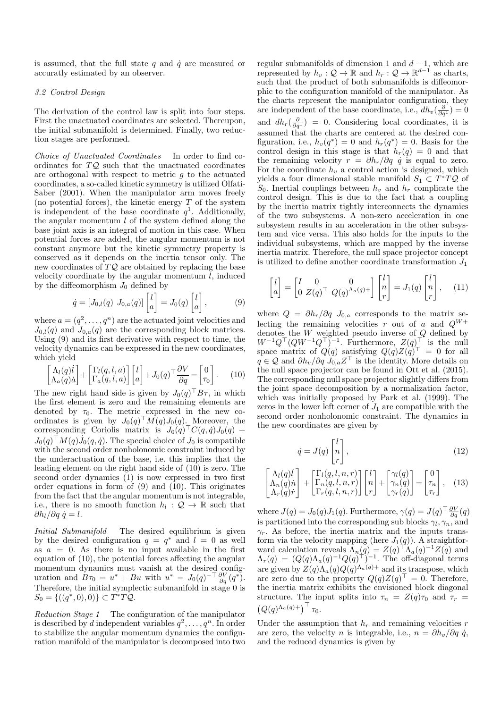is assumed, that the full state q and  $\dot{q}$  are measured or accuratly estimated by an observer.

### 3.2 Control Design

The derivation of the control law is split into four steps. First the unactuated coordinates are selected. Thereupon, the initial submanifold is determined. Finally, two reduction stages are performed.

Choice of Unactuated Coordinates In order to find coordinates for  $TQ$  such that the unactuated coordinates are orthogonal with respect to metric  $q$  to the actuated coordinates, a so-called kinetic symmetry is utilized Olfati-Saber (2001). When the manipulator arm moves freely (no potential forces), the kinetic energy  $T$  of the system is independent of the base coordinate  $q<sup>1</sup>$ . Additionally, the angular momentum  $l$  of the system defined along the base joint axis is an integral of motion in this case. When potential forces are added, the angular momentum is not constant anymore but the kinetic symmetry property is conserved as it depends on the inertia tensor only. The new coordinates of  $TQ$  are obtained by replacing the base velocity coordinate by the angular momentum  $l$ , induced by the diffeomorphism  $J_0$  defined by

$$
\dot{q} = \begin{bmatrix} J_{0,l}(q) & J_{0,a}(q) \end{bmatrix} \begin{bmatrix} l \\ a \end{bmatrix} = J_0(q) \begin{bmatrix} l \\ a \end{bmatrix}, \tag{9}
$$

where  $a = (q^2, \ldots, q^n)$  are the actuated joint velocities and  $J_{0,l}(q)$  and  $J_{0,a}(q)$  are the corresponding block matrices. Using (9) and its first derivative with respect to time, the velocity dynamics can be expressed in the new coordinates, which yield

$$
\begin{bmatrix} \Lambda_l(q)\dot{l} \\ \Lambda_a(q)\dot{a} \end{bmatrix} + \begin{bmatrix} \Gamma_l(q, l, a) \\ \Gamma_a(q, l, a) \end{bmatrix} \begin{bmatrix} l \\ a \end{bmatrix} + J_0(q)^\top \frac{\partial V}{\partial q} = \begin{bmatrix} 0 \\ \tau_0 \end{bmatrix}.
$$
 (10)

The new right hand side is given by  $J_0(q)^\top B \tau$ , in which the first element is zero and the remaining elements are denoted by  $\tau_0$ . The metric expressed in the new coordinates is given by  $J_0(q)^\top M(q)J_0(q)$ . Moreover, the corresponding Coriolis matrix is  $J_0(q)^\top C(q, \dot{q}) J_0(q)$  +  $J_0(q)^\top M(q) \dot{J}_0(q, \dot{q})$ . The special choice of  $J_0$  is compatible with the second order nonholonomic constraint induced by the underactuation of the base, i.e. this implies that the leading element on the right hand side of (10) is zero. The second order dynamics (1) is now expressed in two first order equations in form of (9) and (10). This originates from the fact that the angular momentum is not integrable, i.e., there is no smooth function  $h_l: \mathcal{Q} \to \mathbb{R}$  such that  $\partial h_l/\partial q \dot{q} = l.$ 

Initial Submanifold The desired equilibrium is given by the desired configuration  $q = q^*$  and  $l = 0$  as well as  $a = 0$ . As there is no input available in the first equation of (10), the potential forces affecting the angular momentum dynamics must vanish at the desired configuration and  $B\tau_0 = u^* + Bu$  with  $u^* = J_0(q)^{-\top} \frac{\partial V}{\partial q}(q^*)$ . Therefore, the initial symplectic submanifold in stage 0 is  $S_0 = \{((q^*, 0), 0)\} \subset T^*TQ.$ 

Reduction Stage 1 The configuration of the manipulator is described by d independent variables  $q^2, \ldots, q^n$ . In order to stabilize the angular momentum dynamics the configuration manifold of the manipulator is decomposed into two regular submanifolds of dimension 1 and  $d-1$ , which are represented by  $h_v : \mathcal{Q} \to \mathbb{R}$  and  $h_r : \mathcal{Q} \to \mathbb{R}^{d-1}$  as charts, such that the product of both submanifolds is diffeomorphic to the configuration manifold of the manipulator. As the charts represent the manipulator configuration, they are independent of the base coordinate, i.e.,  $dh_v(\frac{\partial}{\partial q^1}) = 0$ and  $dh_r(\frac{\partial}{\partial q^1}) = 0$ . Considering local coordinates, it is assumed that the charts are centered at the desired configuration, i.e.,  $h_v(q^*) = 0$  and  $h_v(q^*) = 0$ . Basis for the control design in this stage is that  $h_r(q) = 0$  and that the remaining velocity  $r = \partial h_r / \partial q \dot{q}$  is equal to zero. For the coordinate  $h_v$  a control action is designed, which yields a four dimensional stable manifold  $S_1 \subset T^*TQ$  of  $S_0$ . Inertial couplings between  $h_v$  and  $h_r$  complicate the control design. This is due to the fact that a coupling by the inertia matrix tightly interconnects the dynamics of the two subsystems. A non-zero acceleration in one subsystem results in an acceleration in the other subsystem and vice versa. This also holds for the inputs to the individual subsystems, which are mapped by the inverse inertia matrix. Therefore, the null space projector concept is utilized to define another coordinate transformation  $J_1$ 

$$
\begin{bmatrix} l \\ a \end{bmatrix} = \begin{bmatrix} I & 0 & 0 \\ 0 & Z(q)^{\top} & Q(q)^{\Lambda_a(q)+} \end{bmatrix} \begin{bmatrix} l \\ n \\ r \end{bmatrix} = J_1(q) \begin{bmatrix} l \\ n \\ r \end{bmatrix}, \quad (11)
$$

where  $Q = \partial h_r / \partial q J_{0,a}$  corresponds to the matrix selecting the remaining velocities  $r$  out of  $a$  and  $Q^{W+}$ denotes the W weighted pseudo inverse of Q defined by  $W^{-1}Q^{\top}(QW^{-1}Q^{\top})^{-1}$ . Furthermore,  $Z(q)^{\top}$  is the null space matrix of  $Q(q)$  satisfying  $Q(q)Z(q)^{\top} = 0$  for all  $q \in \mathcal{Q}$  and  $\partial h_v / \partial q \bar{J}_{0,a} Z^{\top}$  is the identity. More details on the null space projector can be found in Ott et al. (2015). The corresponding null space projector slightly differs from the joint space decomposition by a normalization factor, which was initially proposed by Park et al. (1999). The zeros in the lower left corner of  $J_1$  are compatible with the second order nonholonomic constraint. The dynamics in the new coordinates are given by

$$
\dot{q} = J(q) \begin{bmatrix} l \\ n \\ r \end{bmatrix},\tag{12}
$$

$$
\begin{bmatrix}\n\Lambda_l(q)\dot{i} \\
\Lambda_n(q)\dot{n} \\
\Lambda_r(q)\dot{r}\n\end{bmatrix} + \begin{bmatrix}\n\Gamma_l(q, l, n, r) \\
\Gamma_n(q, l, n, r)\n\end{bmatrix} \begin{bmatrix}\nl \\
n \\
r\n\end{bmatrix} + \begin{bmatrix}\n\gamma_l(q) \\
\gamma_n(q)\n\end{bmatrix} = \begin{bmatrix}\n0 \\
\tau_n \\
\tau_r\n\end{bmatrix},
$$
\n(13)

where  $J(q) = J_0(q)J_1(q)$ . Furthermore,  $\gamma(q) = J(q)^\top \frac{\partial V}{\partial q}(q)$ is partitioned into the corresponding sub blocks  $\gamma_l, \gamma_n$ , and  $\gamma_r$ . As before, the inertia matrix and the inputs transform via the velocity mapping (here  $J_1(q)$ ). A straightforward calculation reveals  $\Lambda_n(q) = Z(q)^\dagger \Lambda_a(q)^{-1} Z(q)$  and  $\Lambda_r(q) = (Q(q)\Lambda_a(q)^{-1}Q(q)^{\dagger})^{-1}$ . The off-diagonal terms are given by  $Z(q)\Lambda_a(q)Q(q)^{\Lambda_a(q)+}$  and its transpose, which are zero due to the property  $Q(q)Z(q)^{\top} = 0$ . Therefore, the inertia matrix exhibits the envisioned block diagonal structure. The input splits into  $\tau_n = Z(q)\tau_0$  and  $\tau_r =$  $(Q(q)^{\Lambda_a(q)+})^{\top} \tau_0.$ 

Under the assumption that  $h_r$  and remaining velocities r are zero, the velocity n is integrable, i.e.,  $n = \partial h_v / \partial q \dot{q}$ , and the reduced dynamics is given by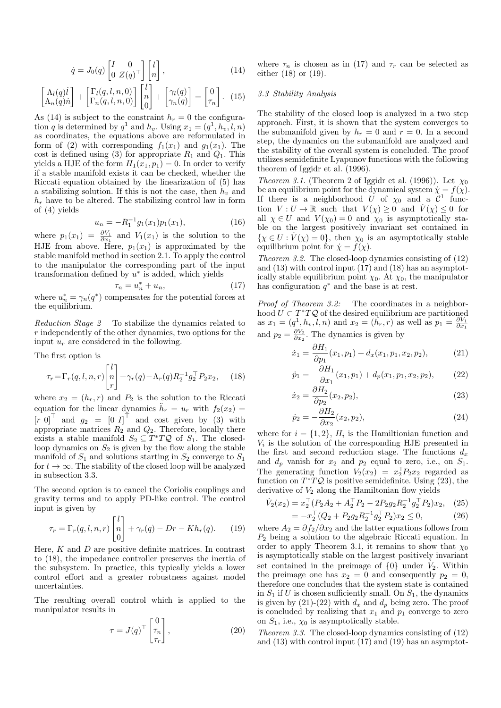$$
\dot{q} = J_0(q) \begin{bmatrix} I & 0 \\ 0 & Z(q) \end{bmatrix} \begin{bmatrix} l \\ n \end{bmatrix}, \qquad (14)
$$

$$
\begin{bmatrix}\n\Lambda_l(q)\dot{l} \\
\Lambda_n(q)\dot{n}\n\end{bmatrix} + \begin{bmatrix}\n\Gamma_l(q, l, n, 0) \\
\Gamma_n(q, l, n, 0)\n\end{bmatrix} \begin{bmatrix}\nl \\
n \\
0\n\end{bmatrix} + \begin{bmatrix}\n\gamma_l(q) \\
\gamma_n(q)\n\end{bmatrix} = \begin{bmatrix}\n0 \\
\tau_n\n\end{bmatrix}.
$$
\n(15)

As (14) is subject to the constraint  $h_r = 0$  the configuration q is determined by  $q^1$  and  $h_v$ . Using  $x_1 = (q^1, h_v, l, n)$ as coordinates, the equations above are reformulated in form of (2) with corresponding  $f_1(x_1)$  and  $g_1(x_1)$ . The cost is defined using (3) for appropriate  $R_1$  and  $Q_1$ . This yields a HJE of the form  $H_1(x_1, p_1) = 0$ . In order to verify if a stable manifold exists it can be checked, whether the Riccati equation obtained by the linearization of (5) has a stabilizing solution. If this is not the case, then  $h_v$  and  $h_r$  have to be altered. The stabilizing control law in form of (4) yields

$$
u_n = -R_1^{-1}g_1(x_1)p_1(x_1), \tag{16}
$$

where  $p_1(x_1) = \frac{\partial V_1}{\partial x_1}$  and  $V_1(x_1)$  is the solution to the HJE from above. Here,  $p_1(x_1)$  is approximated by the stable manifold method in section 2.1. To apply the control to the manipulator the corresponding part of the input transformation defined by  $u^*$  is added, which yields

$$
\tau_n = u_n^* + u_n,\tag{17}
$$

where  $u_n^* = \gamma_n(q^*)$  compensates for the potential forces at the equilibrium.

Reduction Stage 2 To stabilize the dynamics related to r independently of the other dynamics, two options for the input  $u_r$  are considered in the following.

The first option is

$$
\tau_r = \Gamma_r(q, l, n, r) \begin{bmatrix} l \\ n \\ r \end{bmatrix} + \gamma_r(q) - \Lambda_r(q) R_2^{-1} g_2^{\top} P_2 x_2, \quad (18)
$$

where  $x_2 = (h_r, r)$  and  $P_2$  is the solution to the Riccati equation for the linear dynamics  $\ddot{h}_r = u_r$  with  $f_2(x_2) =$  $[r\ 0]^T$  and  $g_2 = [0\ I]^T$  and cost given by (3) with appropriate matrices  $R_2$  and  $Q_2$ . Therefore, locally there exists a stable manifold  $S_2 \subseteq T^*TQ$  of  $S_1$ . The closedloop dynamics on  $S_2$  is given by the flow along the stable manifold of  $S_1$  and solutions starting in  $S_2$  converge to  $S_1$ for  $t \to \infty$ . The stability of the closed loop will be analyzed in subsection 3.3.

The second option is to cancel the Coriolis couplings and gravity terms and to apply PD-like control. The control input is given by

$$
\tau_r = \Gamma_r(q, l, n, r) \begin{bmatrix} l \\ n \\ 0 \end{bmatrix} + \gamma_r(q) - Dr - Kh_r(q). \tag{19}
$$

Here,  $K$  and  $D$  are positive definite matrices. In contrast to (18), the impedance controller preserves the inertia of the subsystem. In practice, this typically yields a lower control effort and a greater robustness against model uncertainties.

The resulting overall control which is applied to the manipulator results in

$$
\tau = J(q)^{\top} \begin{bmatrix} 0 \\ \tau_n \\ \tau_r \end{bmatrix}, \qquad (20)
$$

where  $\tau_n$  is chosen as in (17) and  $\tau_r$  can be selected as either (18) or (19).

#### 3.3 Stability Analysis

The stability of the closed loop is analyzed in a two step approach. First, it is shown that the system converges to the submanifold given by  $h_r = 0$  and  $r = 0$ . In a second step, the dynamics on the submanifold are analyzed and the stability of the overall system is concluded. The proof utilizes semidefinite Lyapunov functions with the following theorem of Iggidr et al. (1996).

Theorem 3.1. (Theorem 2 of Iggidr et al. (1996)). Let  $\chi_0$ be an equilibrium point for the dynamical system  $\dot{\chi} = f(\chi)$ . If there is a neighborhood U of  $\chi_0$  and a  $\mathcal{C}^1$  function  $V: U \to \mathbb{R}$  such that  $V(\chi) \geq 0$  and  $\dot{V}(\chi) \leq 0$  for all  $\chi \in U$  and  $V(\chi_0) = 0$  and  $\chi_0$  is asymptotically stable on the largest positively invariant set contained in  $\{\chi \in U : V(\chi) = 0\}$ , then  $\chi_0$  is an asymptotically stable equilibrium point for  $\dot{\chi} = f(\chi)$ .

Theorem 3.2. The closed-loop dynamics consisting of (12) and (13) with control input (17) and (18) has an asymptotically stable equilibrium point  $\chi_0$ . At  $\chi_0$ , the manipulator has configuration  $q^*$  and the base is at rest.

Proof of Theorem 3.2: The coordinates in a neighborhood  $\overline{U} \subset T^*T\mathcal{Q}$  of the desired equilibrium are partitioned as  $x_1 = (q^1, h_v, l, n)$  and  $x_2 = (h_r, r)$  as well as  $p_1 = \frac{\partial V_1}{\partial x_1}$ and  $p_2 = \frac{\partial V_2}{\partial x_2}$ . The dynamics is given by

$$
\dot{x}_1 = \frac{\partial H_1}{\partial p_1}(x_1, p_1) + d_x(x_1, p_1, x_2, p_2),\tag{21}
$$

$$
\dot{p}_1 = -\frac{\partial H_1}{\partial x_1}(x_1, p_1) + d_p(x_1, p_1, x_2, p_2),\tag{22}
$$

$$
\dot{x}_2 = \frac{\partial H_2}{\partial p_2}(x_2, p_2),\tag{23}
$$

$$
\dot{p}_2 = -\frac{\partial H_2}{\partial x_2}(x_2, p_2),\tag{24}
$$

where for  $i = \{1, 2\}, H_i$  is the Hamiltionian function and  $V_i$  is the solution of the corresponding HJE presented in the first and second reduction stage. The functions  $d_x$ and  $d_p$  vanish for  $x_2$  and  $p_2$  equal to zero, i.e., on  $S_1$ . The generating function  $V_2(x_2) = x_2^{\top} P_2 x_2$  regarded as function on  $T^*TQ$  is positive semidefinite. Using (23), the derivative of  $V_2$  along the Hamiltonian flow yields

$$
\dot{V}_2(x_2) = x_2^{\top} (P_2 A_2 + A_2^{\top} P_2 - 2P_2 g_2 R_2^{-1} g_2^{\top} P_2) x_2, \quad (25)
$$

$$
= -x^{\top} (Q_2 + P_2 g_2 R_2^{-1} g_2^{\top} P_2) x_2 \le 0 \tag{26}
$$

$$
= -x_2^{\perp} (Q_2 + P_2 g_2 R_2^{-1} g_2^{\perp} P_2) x_2 \le 0, \tag{26}
$$

where  $A_2 = \partial f_2 / \partial x_2$  and the latter equations follows from  $P_2$  being a solution to the algebraic Riccati equation. In order to apply Theorem 3.1, it remains to show that  $\chi_0$ is asymptotically stable on the largest positively invariant set contained in the preimage of  ${0}$  under  $\dot{V}_2$ . Within the preimage one has  $x_2 = 0$  and consequently  $p_2 = 0$ , therefore one concludes that the system state is contained in  $S_1$  if U is chosen sufficiently small. On  $S_1$ , the dynamics is given by (21)-(22) with  $d_x$  and  $d_p$  being zero. The proof is concluded by realizing that  $x_1$  and  $p_1$  converge to zero on  $S_1$ , i.e.,  $\chi_0$  is asymptotically stable.

Theorem 3.3. The closed-loop dynamics consisting of (12) and (13) with control input (17) and (19) has an asymptot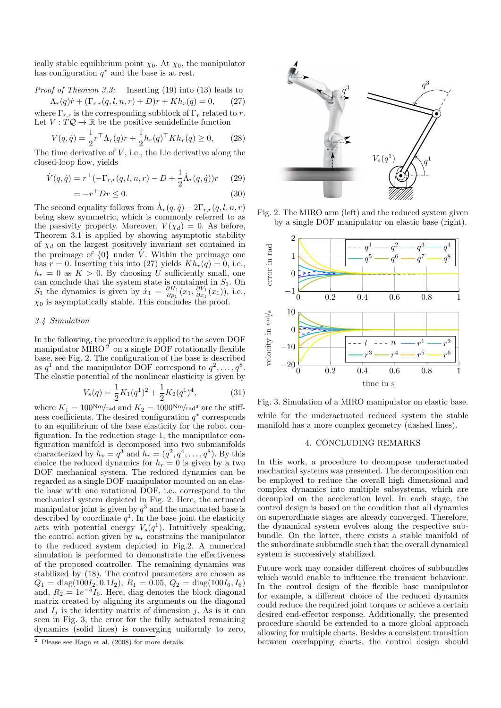ically stable equilibrium point  $\chi_0$ . At  $\chi_0$ , the manipulator has configuration  $q^*$  and the base is at rest.

Proof of Theorem 3.3: Inserting (19) into (13) leads to  $\Lambda_r(q)\dot{r} + (\Gamma_{r,r}(q, l, n, r) + D)r + Kh_r(q) = 0,$  (27)

where  $\Gamma_{r,r}$  is the corresponding subblock of  $\Gamma_r$  related to r. Let  $V: T\mathcal{Q} \to \mathbb{R}$  be the positive semidefinite function

$$
V(q, \dot{q}) = \frac{1}{2} r^{\top} \Lambda_r(q) r + \frac{1}{2} h_r(q)^{\top} K h_r(q) \ge 0, \qquad (28)
$$

The time derivative of  $V$ , i.e., the Lie derivative along the closed-loop flow, yields

$$
\dot{V}(q, \dot{q}) = r^{\top}(-\Gamma_{r,r}(q, l, n, r) - D + \frac{1}{2}\dot{\Lambda}_{r}(q, \dot{q}))r
$$
 (29)

$$
=-r^{\top}Dr\leq 0.\tag{30}
$$

The second equality follows from  $\dot{\Lambda}_r(q, \dot{q}) - 2\Gamma_{r,r}(q, l, n, r)$ being skew symmetric, which is commonly referred to as the passivity property. Moreover,  $V(\chi_d) = 0$ . As before, Theorem 3.1 is applied by showing asymptotic stability of  $\chi_d$  on the largest positively invariant set contained in the preimage of  $\{0\}$  under  $\dot{V}$ . Within the preimage one has  $r = 0$ . Inserting this into (27) yields  $Kh_r(q) = 0$ , i.e.,  $h_r = 0$  as  $K > 0$ . By choosing U sufficiently small, one can conclude that the system state is contained in  $S_1$ . On  $S_1$  the dynamics is given by  $\dot{x}_1 = \frac{\partial H_1}{\partial p_1}(x_1, \frac{\partial V_1}{\partial x_1}(x_1))$ , i.e.,  $\chi_0$  is asymptotically stable. This concludes the proof.

#### 3.4 Simulation

In the following, the procedure is applied to the seven DOF manipulator MIRO  $^2$  on a single DOF rotationally flexible base, see Fig. 2. The configuration of the base is described as  $q^1$  and the manipulator DOF correspond to  $q^2, \ldots, q^8$ . The elastic potential of the nonlinear elasticity is given by

$$
V_s(q) = \frac{1}{2}K_1(q^1)^2 + \frac{1}{2}K_2(q^1)^4,
$$
 (31)

where  $K_1 = 100 \text{Nm/rad}$  and  $K_2 = 1000 \text{Nm/rad}^3$  are the stiffness coefficients. The desired configuration  $q^*$  corresponds to an equilibrium of the base elasticity for the robot configuration. In the reduction stage 1, the manipulator configuration manifold is decomposed into two submanifolds characterized by  $h_v = q^3$  and  $h_r = (q^2, q^4, \dots, q^8)$ . By this choice the reduced dynamics for  $h_r = 0$  is given by a two DOF mechanical system. The reduced dynamics can be regarded as a single DOF manipulator mounted on an elastic base with one rotational DOF, i.e., correspond to the mechanical system depicted in Fig. 2. Here, the actuated manipulator joint is given by  $q^3$  and the unactuated base is described by coordinate  $q<sup>1</sup>$ . In the base joint the elasticity acts with potential energy  $V_s(q^1)$ . Intuitively speaking, the control action given by  $u_r$  constrains the manipulator to the reduced system depicted in Fig.2. A numerical simulation is performed to demonstrate the effectiveness of the proposed controller. The remaining dynamics was stabilized by (18). The control parameters are chosen as  $Q_1 = \text{diag}(100I_2, 0.1I_2), R_1 = 0.05, Q_2 = \text{diag}(100I_6, I_6)$ and,  $R_2 = 1e^{-5}I_6$ . Here, diag denotes the block diagonal matrix created by aligning its arguments on the diagonal and  $I_i$  is the identity matrix of dimension j. As is it can seen in Fig. 3, the error for the fully actuated remaining dynamics (solid lines) is converging uniformly to zero,



Fig. 2. The MIRO arm (left) and the reduced system given by a single DOF manipulator on elastic base (right).



Fig. 3. Simulation of a MIRO manipulator on elastic base. while for the underactuated reduced system the stable manifold has a more complex geometry (dashed lines).

#### 4. CONCLUDING REMARKS

In this work, a procedure to decompose underactuated mechanical systems was presented. The decomposition can be employed to reduce the overall high dimensional and complex dynamics into multiple subsystems, which are decoupled on the acceleration level. In each stage, the control design is based on the condition that all dynamics on superordinate stages are already converged. Therefore, the dynamical system evolves along the respective subbundle. On the latter, there exists a stable manifold of the subordinate subbundle such that the overall dynamical system is successively stabilized.

Future work may consider different choices of subbundles which would enable to influence the transient behaviour. In the control design of the flexible base manipulator for example, a different choice of the reduced dynamics could reduce the required joint torques or achieve a certain desired end-effector response. Additionally, the presented procedure should be extended to a more global approach allowing for multiple charts. Besides a consistent transition between overlapping charts, the control design should

<sup>2</sup> Please see Hagn et al. (2008) for more details.